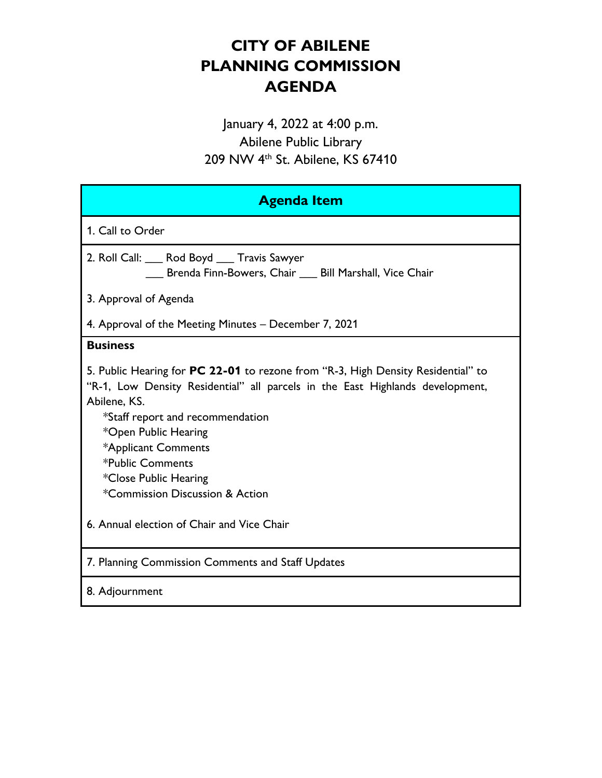# **CITY OF ABILENE PLANNING COMMISSION AGENDA**

January 4, 2022 at 4:00 p.m. Abilene Public Library 209 NW 4th St. Abilene, KS 67410

| <b>Agenda Item</b>                                                                                                                                                                                                                                                                                                                                                                                 |  |  |  |
|----------------------------------------------------------------------------------------------------------------------------------------------------------------------------------------------------------------------------------------------------------------------------------------------------------------------------------------------------------------------------------------------------|--|--|--|
| 1. Call to Order                                                                                                                                                                                                                                                                                                                                                                                   |  |  |  |
| 2. Roll Call: ___ Rod Boyd ___ Travis Sawyer<br>__ Brenda Finn-Bowers, Chair __ Bill Marshall, Vice Chair                                                                                                                                                                                                                                                                                          |  |  |  |
| 3. Approval of Agenda                                                                                                                                                                                                                                                                                                                                                                              |  |  |  |
| 4. Approval of the Meeting Minutes – December 7, 2021                                                                                                                                                                                                                                                                                                                                              |  |  |  |
| <b>Business</b>                                                                                                                                                                                                                                                                                                                                                                                    |  |  |  |
| 5. Public Hearing for PC 22-01 to rezone from "R-3, High Density Residential" to<br>"R-1, Low Density Residential" all parcels in the East Highlands development,<br>Abilene, KS.<br>*Staff report and recommendation<br>*Open Public Hearing<br>*Applicant Comments<br>*Public Comments<br>*Close Public Hearing<br>*Commission Discussion & Action<br>6. Annual election of Chair and Vice Chair |  |  |  |
| 7. Planning Commission Comments and Staff Updates                                                                                                                                                                                                                                                                                                                                                  |  |  |  |
| 8. Adjournment                                                                                                                                                                                                                                                                                                                                                                                     |  |  |  |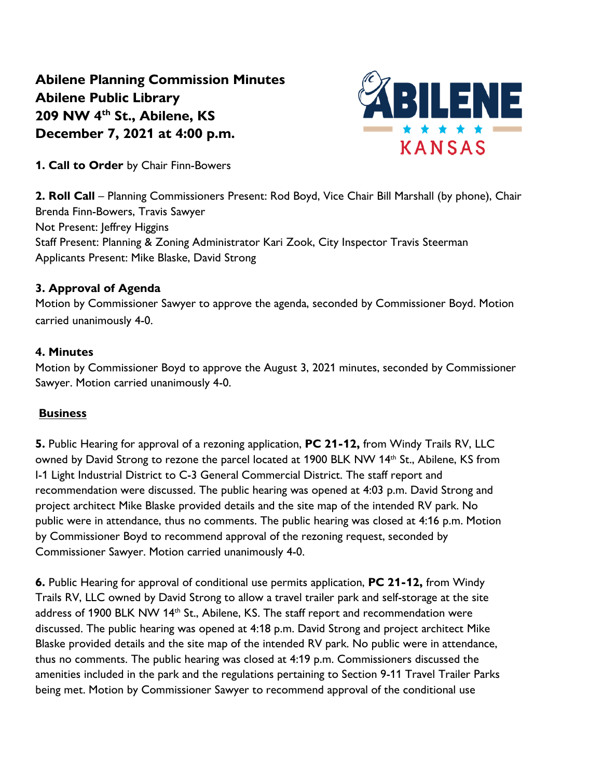**Abilene Planning Commission Minutes Abilene Public Library 209 NW 4th St., Abilene, KS December 7, 2021 at 4:00 p.m.**



**1. Call to Order** by Chair Finn-Bowers

**2. Roll Call** – Planning Commissioners Present: Rod Boyd, Vice Chair Bill Marshall (by phone), Chair Brenda Finn-Bowers, Travis Sawyer Not Present: Jeffrey Higgins Staff Present: Planning & Zoning Administrator Kari Zook, City Inspector Travis Steerman Applicants Present: Mike Blaske, David Strong

#### **3. Approval of Agenda**

Motion by Commissioner Sawyer to approve the agenda, seconded by Commissioner Boyd. Motion carried unanimously 4-0.

#### **4. Minutes**

Motion by Commissioner Boyd to approve the August 3, 2021 minutes, seconded by Commissioner Sawyer. Motion carried unanimously 4-0.

### **Business**

**5.** Public Hearing for approval of a rezoning application, **PC 21-12,** from Windy Trails RV, LLC owned by David Strong to rezone the parcel located at 1900 BLK NW 14<sup>th</sup> St., Abilene, KS from I-1 Light Industrial District to C-3 General Commercial District. The staff report and recommendation were discussed. The public hearing was opened at 4:03 p.m. David Strong and project architect Mike Blaske provided details and the site map of the intended RV park. No public were in attendance, thus no comments. The public hearing was closed at 4:16 p.m. Motion by Commissioner Boyd to recommend approval of the rezoning request, seconded by Commissioner Sawyer. Motion carried unanimously 4-0.

**6.** Public Hearing for approval of conditional use permits application, **PC 21-12,** from Windy Trails RV, LLC owned by David Strong to allow a travel trailer park and self-storage at the site address of 1900 BLK NW 14<sup>th</sup> St., Abilene, KS. The staff report and recommendation were discussed. The public hearing was opened at 4:18 p.m. David Strong and project architect Mike Blaske provided details and the site map of the intended RV park. No public were in attendance, thus no comments. The public hearing was closed at 4:19 p.m. Commissioners discussed the amenities included in the park and the regulations pertaining to Section 9-11 Travel Trailer Parks being met. Motion by Commissioner Sawyer to recommend approval of the conditional use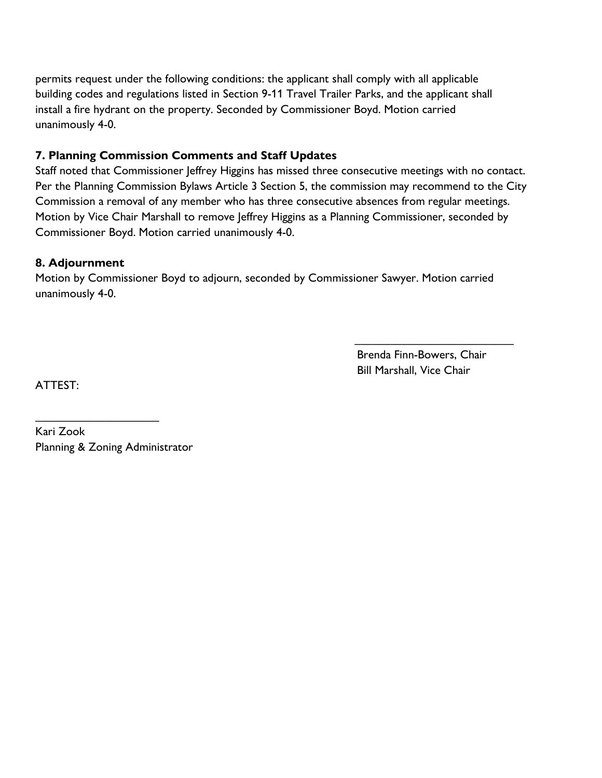permits request under the following conditions: the applicant shall comply with all applicable building codes and regulations listed in Section 9-11 Travel Trailer Parks, and the applicant shall install a fire hydrant on the property. Seconded by Commissioner Boyd. Motion carried unanimously 4-0.

#### **7. Planning Commission Comments and Staff Updates**

Staff noted that Commissioner Jeffrey Higgins has missed three consecutive meetings with no contact. Per the Planning Commission Bylaws Article 3 Section 5, the commission may recommend to the City Commission a removal of any member who has three consecutive absences from regular meetings. Motion by Vice Chair Marshall to remove Jeffrey Higgins as a Planning Commissioner, seconded by Commissioner Boyd. Motion carried unanimously 4-0.

#### **8. Adjournment**

Motion by Commissioner Boyd to adjourn, seconded by Commissioner Sawyer. Motion carried unanimously 4-0.

> Brenda Finn-Bowers, Chair Bill Marshall, Vice Chair

 $\frac{1}{\sqrt{2}}$  ,  $\frac{1}{\sqrt{2}}$  ,  $\frac{1}{\sqrt{2}}$  ,  $\frac{1}{\sqrt{2}}$  ,  $\frac{1}{\sqrt{2}}$  ,  $\frac{1}{\sqrt{2}}$  ,  $\frac{1}{\sqrt{2}}$  ,  $\frac{1}{\sqrt{2}}$  ,  $\frac{1}{\sqrt{2}}$  ,  $\frac{1}{\sqrt{2}}$  ,  $\frac{1}{\sqrt{2}}$  ,  $\frac{1}{\sqrt{2}}$  ,  $\frac{1}{\sqrt{2}}$  ,  $\frac{1}{\sqrt{2}}$  ,  $\frac{1}{\sqrt{2}}$ 

ATTEST:

Kari Zook Planning & Zoning Administrator

\_\_\_\_\_\_\_\_\_\_\_\_\_\_\_\_\_\_\_\_\_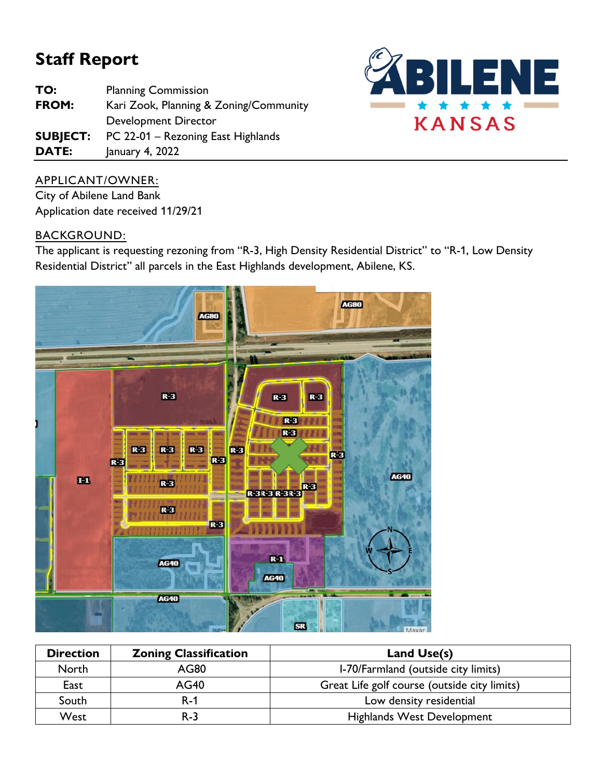# **Staff Report**

| TO:             | <b>Planning Commission</b>             |  |
|-----------------|----------------------------------------|--|
| FROM:           | Kari Zook, Planning & Zoning/Community |  |
|                 | Development Director                   |  |
| <b>SUBJECT:</b> | PC 22-01 - Rezoning East Highlands     |  |
| DATE:           | January 4, 2022                        |  |



# APPLICANT/OWNER:

City of Abilene Land Bank Application date received 11/29/21

### BACKGROUND:

The applicant is requesting rezoning from "R-3, High Density Residential District" to "R-1, Low Density Residential District" all parcels in the East Highlands development, Abilene, KS.



| <b>Direction</b> | <b>Zoning Classification</b> | Land Use(s)                                  |
|------------------|------------------------------|----------------------------------------------|
| North            | AG80                         | I-70/Farmland (outside city limits)          |
| East             | <b>AG40</b>                  | Great Life golf course (outside city limits) |
| South            | $R-1$                        | Low density residential                      |
| West             | $R-3$                        | <b>Highlands West Development</b>            |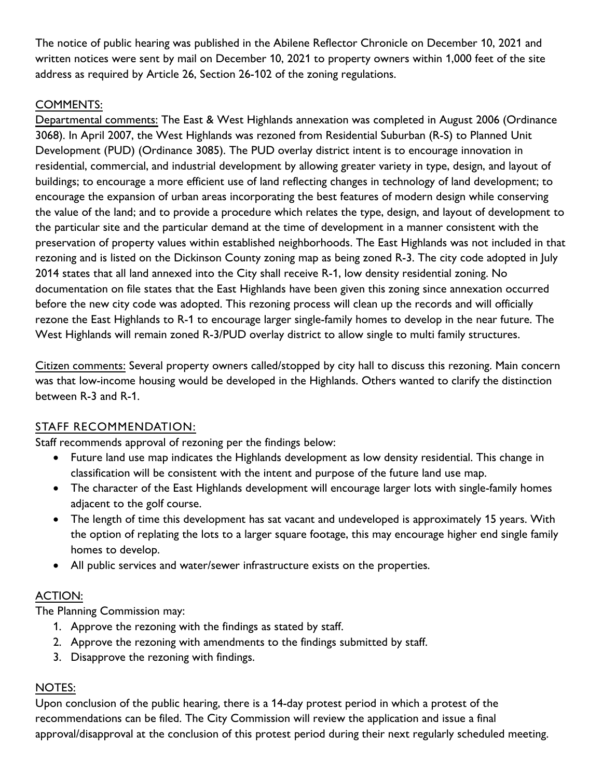The notice of public hearing was published in the Abilene Reflector Chronicle on December 10, 2021 and written notices were sent by mail on December 10, 2021 to property owners within 1,000 feet of the site address as required by Article 26, Section 26-102 of the zoning regulations.

# COMMENTS:

Departmental comments: The East & West Highlands annexation was completed in August 2006 (Ordinance 3068). In April 2007, the West Highlands was rezoned from Residential Suburban (R-S) to Planned Unit Development (PUD) (Ordinance 3085). The PUD overlay district intent is to encourage innovation in residential, commercial, and industrial development by allowing greater variety in type, design, and layout of buildings; to encourage a more efficient use of land reflecting changes in technology of land development; to encourage the expansion of urban areas incorporating the best features of modern design while conserving the value of the land; and to provide a procedure which relates the type, design, and layout of development to the particular site and the particular demand at the time of development in a manner consistent with the preservation of property values within established neighborhoods. The East Highlands was not included in that rezoning and is listed on the Dickinson County zoning map as being zoned R-3. The city code adopted in July 2014 states that all land annexed into the City shall receive R-1, low density residential zoning. No documentation on file states that the East Highlands have been given this zoning since annexation occurred before the new city code was adopted. This rezoning process will clean up the records and will officially rezone the East Highlands to R-1 to encourage larger single-family homes to develop in the near future. The West Highlands will remain zoned R-3/PUD overlay district to allow single to multi family structures.

Citizen comments: Several property owners called/stopped by city hall to discuss this rezoning. Main concern was that low-income housing would be developed in the Highlands. Others wanted to clarify the distinction between R-3 and R-1.

# STAFF RECOMMENDATION:

Staff recommends approval of rezoning per the findings below:

- Future land use map indicates the Highlands development as low density residential. This change in classification will be consistent with the intent and purpose of the future land use map.
- The character of the East Highlands development will encourage larger lots with single-family homes adjacent to the golf course.
- The length of time this development has sat vacant and undeveloped is approximately 15 years. With the option of replating the lots to a larger square footage, this may encourage higher end single family homes to develop.
- All public services and water/sewer infrastructure exists on the properties.

# ACTION:

The Planning Commission may:

- 1. Approve the rezoning with the findings as stated by staff.
- 2. Approve the rezoning with amendments to the findings submitted by staff.
- 3. Disapprove the rezoning with findings.

# NOTES:

Upon conclusion of the public hearing, there is a 14-day protest period in which a protest of the recommendations can be filed. The City Commission will review the application and issue a final approval/disapproval at the conclusion of this protest period during their next regularly scheduled meeting.